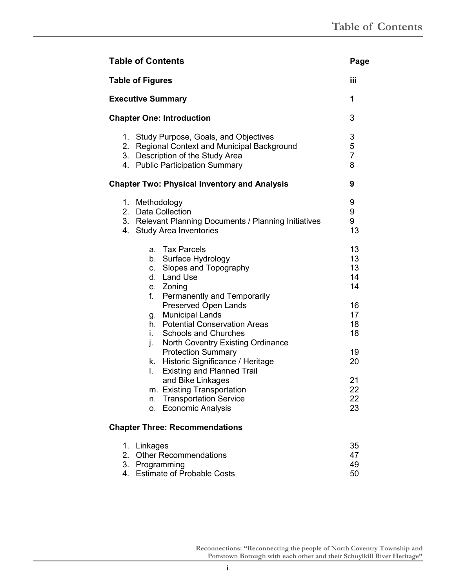| <b>Table of Contents</b>                                                                                                                                                                           | Page                          |
|----------------------------------------------------------------------------------------------------------------------------------------------------------------------------------------------------|-------------------------------|
| <b>Table of Figures</b>                                                                                                                                                                            | iii                           |
| <b>Executive Summary</b>                                                                                                                                                                           | 1                             |
| <b>Chapter One: Introduction</b>                                                                                                                                                                   | 3                             |
| 1. Study Purpose, Goals, and Objectives<br>Regional Context and Municipal Background<br>2.<br>3. Description of the Study Area<br>4. Public Participation Summary                                  | 3<br>5<br>$\overline{7}$<br>8 |
| <b>Chapter Two: Physical Inventory and Analysis</b>                                                                                                                                                | 9                             |
| 1. Methodology<br>2. Data Collection<br>3. Relevant Planning Documents / Planning Initiatives<br><b>Study Area Inventories</b><br>4.                                                               | 9<br>9<br>9<br>13             |
| a. Tax Parcels<br>b. Surface Hydrology<br>Slopes and Topography<br>C.<br>d. Land Use<br>e. Zoning                                                                                                  | 13<br>13<br>13<br>14<br>14    |
| f.<br>Permanently and Temporarily<br>Preserved Open Lands<br>g. Municipal Lands<br>h. Potential Conservation Areas<br><b>Schools and Churches</b><br>i.<br>North Coventry Existing Ordinance<br>j. | 16<br>17<br>18<br>18          |
| <b>Protection Summary</b><br>Historic Significance / Heritage<br>k.<br><b>Existing and Planned Trail</b><br>L.                                                                                     | 19<br>20                      |
| and Bike Linkages<br>m. Existing Transportation<br><b>Transportation Service</b><br>n.<br><b>Economic Analysis</b><br>о.                                                                           | 21<br>22<br>22<br>23          |
| <b>Chapter Three: Recommendations</b>                                                                                                                                                              |                               |
| Linkages<br>1.                                                                                                                                                                                     | 35                            |

| 1. Linkages                   | 35  |
|-------------------------------|-----|
| 2. Other Recommendations      | 47  |
| 3. Programming                | 49. |
| 4. Estimate of Probable Costs | 50. |
|                               |     |

**Reconnections: "Reconnecting the people of North Coventry Township and Pottstown Borough with each other and their Schuylkill River Heritage"**